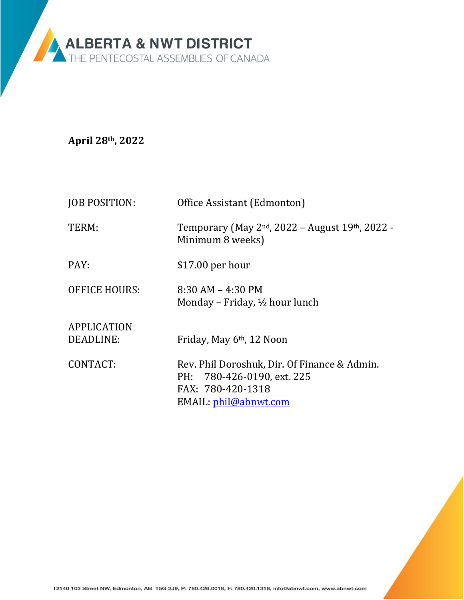

**April 28th, 2022**

| <b>JOB POSITION:</b>                               | Office Assistant (Edmonton)                                                                                                              |
|----------------------------------------------------|------------------------------------------------------------------------------------------------------------------------------------------|
| TERM:                                              | Temporary (May 2 <sup>nd</sup> , 2022 – August 19 <sup>th</sup> , 2022 -<br>Minimum 8 weeks)                                             |
| PAY:                                               | $$17.00$ per hour                                                                                                                        |
| <b>OFFICE HOURS:</b>                               | $8:30$ AM $-$ 4:30 PM<br>Monday – Friday, $\frac{1}{2}$ hour lunch                                                                       |
| <b>APPLICATION</b><br><b>DEADLINE:</b><br>CONTACT: | Friday, May 6 <sup>th</sup> , 12 Noon<br>Rev. Phil Doroshuk, Dir. Of Finance & Admin.<br>PH: 780-426-0190, ext. 225<br>FAX: 780-420-1318 |
|                                                    | EMAIL: phil@abnwt.com                                                                                                                    |